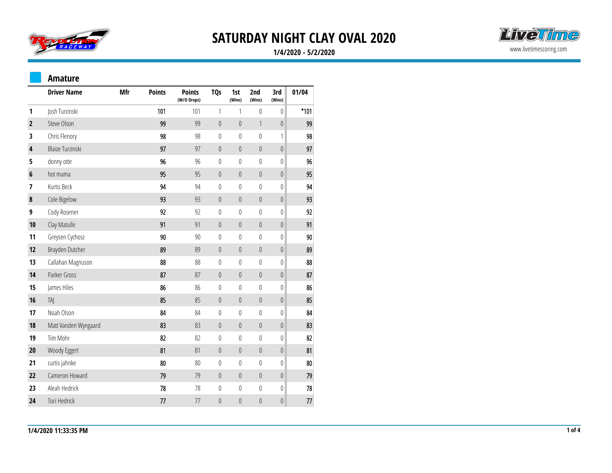



### **1/4/2020 - 5/2/2020**

#### **Amature**

|                         | <b>Driver Name</b>      | Mfr | <b>Points</b> | <b>Points</b><br>(W/O Drops) | <b>TQs</b>       | 1st<br>(Wins)    | 2nd<br>(Wins)    | 3rd<br>(Wins)    | 01/04  |
|-------------------------|-------------------------|-----|---------------|------------------------------|------------------|------------------|------------------|------------------|--------|
| 1                       | Josh Turzinski          |     | 101           | 101                          | $\mathbf{1}$     | 1                | $\pmb{0}$        | $\boldsymbol{0}$ | $*101$ |
| $\overline{\mathbf{2}}$ | Steve Olson             |     | 99            | 99                           | $\boldsymbol{0}$ | $\pmb{0}$        | $\mathbf{1}$     | $\boldsymbol{0}$ | 99     |
| 3                       | Chris Flenory           |     | 98            | 98                           | $\boldsymbol{0}$ | 0                | $\pmb{0}$        | $\mathbf{1}$     | 98     |
| 4                       | <b>Blaize Turzinski</b> |     | 97            | 97                           | $\boldsymbol{0}$ | $\theta$         | $\boldsymbol{0}$ | $\boldsymbol{0}$ | 97     |
| 5                       | donny otte              |     | 96            | 96                           | $\boldsymbol{0}$ | $\boldsymbol{0}$ | $\boldsymbol{0}$ | $\boldsymbol{0}$ | 96     |
| $\boldsymbol{6}$        | hot mama                |     | 95            | 95                           | $\boldsymbol{0}$ | $\boldsymbol{0}$ | $\boldsymbol{0}$ | $\boldsymbol{0}$ | 95     |
| 7                       | Kurtis Beck             |     | 94            | 94                           | $\boldsymbol{0}$ | 0                | $\boldsymbol{0}$ | $\boldsymbol{0}$ | 94     |
| $\pmb{8}$               | Cole Bigelow            |     | 93            | 93                           | $\boldsymbol{0}$ | $\boldsymbol{0}$ | $\boldsymbol{0}$ | $\boldsymbol{0}$ | 93     |
| 9                       | Cody Rosener            |     | 92            | 92                           | $\boldsymbol{0}$ | 0                | $\pmb{0}$        | $\boldsymbol{0}$ | 92     |
| 10                      | Clay Matulle            |     | 91            | 91                           | $\boldsymbol{0}$ | $\boldsymbol{0}$ | $\boldsymbol{0}$ | $\boldsymbol{0}$ | 91     |
| 11                      | Greysen Cychosz         |     | 90            | 90                           | $\boldsymbol{0}$ | $\boldsymbol{0}$ | $\mathbb{0}$     | $\boldsymbol{0}$ | 90     |
| 12                      | Brayden Dutcher         |     | 89            | 89                           | $\boldsymbol{0}$ | $\boldsymbol{0}$ | $\boldsymbol{0}$ | $\boldsymbol{0}$ | 89     |
| 13                      | Callahan Magnuson       |     | 88            | 88                           | $\boldsymbol{0}$ | 0                | $\boldsymbol{0}$ | $\boldsymbol{0}$ | 88     |
| 14                      | Parker Gross            |     | 87            | 87                           | $\boldsymbol{0}$ | $\boldsymbol{0}$ | $\boldsymbol{0}$ | $\boldsymbol{0}$ | 87     |
| 15                      | James Hiles             |     | 86            | 86                           | $\boldsymbol{0}$ | 0                | $\mathbb O$      | $\boldsymbol{0}$ | 86     |
| 16                      | <b>TAJ</b>              |     | 85            | 85                           | $\boldsymbol{0}$ | $\boldsymbol{0}$ | $\boldsymbol{0}$ | $\boldsymbol{0}$ | 85     |
| 17                      | Noah Olson              |     | 84            | 84                           | $\boldsymbol{0}$ | $\boldsymbol{0}$ | $\mathbf 0$      | $\boldsymbol{0}$ | 84     |
| 18                      | Matt Vanden Wyngaard    |     | 83            | 83                           | $\boldsymbol{0}$ | $\boldsymbol{0}$ | $\boldsymbol{0}$ | $\boldsymbol{0}$ | 83     |
| 19                      | Tim Mohr                |     | 82            | 82                           | $\boldsymbol{0}$ | 0                | $\mathbb O$      | $\boldsymbol{0}$ | 82     |
| 20                      | Woody Eggert            |     | 81            | 81                           | $\boldsymbol{0}$ | $\boldsymbol{0}$ | $\boldsymbol{0}$ | $\boldsymbol{0}$ | 81     |
| 21                      | curtis jahnke           |     | 80            | 80                           | $\boldsymbol{0}$ | 0                | $\pmb{0}$        | $\boldsymbol{0}$ | 80     |
| 22                      | Cameron Howard          |     | 79            | 79                           | $\boldsymbol{0}$ | $\boldsymbol{0}$ | $\boldsymbol{0}$ | $\boldsymbol{0}$ | 79     |
| 23                      | Aleah Hedrick           |     | 78            | 78                           | $\boldsymbol{0}$ | $\boldsymbol{0}$ | $\boldsymbol{0}$ | $\boldsymbol{0}$ | 78     |
| 24                      | Tori Hedrick            |     | 77            | 77                           | $\boldsymbol{0}$ | $\theta$         | $\boldsymbol{0}$ | $\boldsymbol{0}$ | 77     |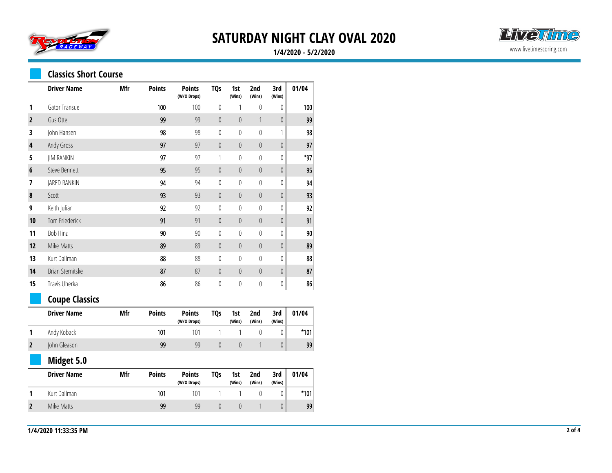



### **1/4/2020 - 5/2/2020**

### **Classics Short Course**

|                         | <b>Driver Name</b>    | Mfr | <b>Points</b> | <b>Points</b><br>(W/O Drops) | <b>TQs</b>       | 1st<br>(Wins)    | 2nd<br>(Wins)    | 3rd<br>(Wins)    | 01/04  |
|-------------------------|-----------------------|-----|---------------|------------------------------|------------------|------------------|------------------|------------------|--------|
| 1                       | Gator Transue         |     | 100           | 100                          | $\pmb{0}$        | 1                | 0                | $\pmb{0}$        | 100    |
| $\mathbf 2$             | Gus Otte              |     | 99            | 99                           | $\mathbf 0$      | $\theta$         | $\mathbf{1}$     | $\boldsymbol{0}$ | 99     |
| 3                       | John Hansen           |     | 98            | 98                           | $\mathbf{0}$     | $\theta$         | $\theta$         | 1                | 98     |
| 4                       | Andy Gross            |     | 97            | 97                           | $\mathbf 0$      | $\boldsymbol{0}$ | $\boldsymbol{0}$ | $\boldsymbol{0}$ | 97     |
| 5                       | <b>JIM RANKIN</b>     |     | 97            | 97                           | 1                | $\mathbf{0}$     | $\mathbb O$      | 0                | *97    |
| $\boldsymbol{6}$        | <b>Steve Bennett</b>  |     | 95            | 95                           | $\theta$         | $\pmb{0}$        | $\mathbf 0$      | $\theta$         | 95     |
| 7                       | JARED RANKIN          |     | 94            | 94                           | $\pmb{0}$        | $\mathbf{0}$     | $\boldsymbol{0}$ | 0                | 94     |
| 8                       | Scott                 |     | 93            | 93                           | $\mathbf 0$      | $\mathbf 0$      | $\boldsymbol{0}$ | $\boldsymbol{0}$ | 93     |
| 9                       | Keith Juliar          |     | 92            | 92                           | $\mathbf{0}$     | $\mathbf{0}$     | $\mathbf{0}$     | $\boldsymbol{0}$ | 92     |
| 10                      | Tom Friederick        |     | 91            | 91                           | $\mathbf 0$      | $\boldsymbol{0}$ | $\boldsymbol{0}$ | $\pmb{0}$        | 91     |
| 11                      | Bob Hinz              |     | 90            | 90                           | $\mathbf 0$      | $\mathbf 0$      | $\boldsymbol{0}$ | $\boldsymbol{0}$ | 90     |
| 12                      | Mike Matts            |     | 89            | 89                           | $\mathbf 0$      | $\boldsymbol{0}$ | $\boldsymbol{0}$ | $\boldsymbol{0}$ | 89     |
| 13                      | Kurt Dallman          |     | 88            | 88                           | $\pmb{0}$        | $\mathbf 0$      | $\boldsymbol{0}$ | 0                | 88     |
| 14                      | Brian Sternitske      |     | 87            | 87                           | $\mathbb O$      | $\mathbf 0$      | $\mathbb O$      | $\boldsymbol{0}$ | 87     |
| 15                      | Travis Uherka         |     | 86            | 86                           | $\mathbf 0$      | $\mathbf 0$      | $\boldsymbol{0}$ | $\boldsymbol{0}$ | 86     |
|                         | <b>Coupe Classics</b> |     |               |                              |                  |                  |                  |                  |        |
|                         | <b>Driver Name</b>    | Mfr | <b>Points</b> | <b>Points</b><br>(W/O Drops) | <b>TQs</b>       | 1st<br>(Wins)    | 2nd<br>(Wins)    | 3rd<br>(Wins)    | 01/04  |
| 1                       | Andy Koback           |     | 101           | 101                          | 1                | 1                | $\mathbf{0}$     | $\mathbb O$      | $*101$ |
| $\overline{\mathbf{2}}$ | John Gleason          |     | 99            | 99                           | $\boldsymbol{0}$ | $\boldsymbol{0}$ | 1                | $\boldsymbol{0}$ | 99     |
|                         | Midget 5.0            |     |               |                              |                  |                  |                  |                  |        |
|                         | <b>Driver Name</b>    | Mfr | <b>Points</b> | <b>Points</b><br>(W/O Drops) | <b>TQs</b>       | 1st<br>(Wins)    | 2nd<br>(Wins)    | 3rd<br>(Wins)    | 01/04  |
| 1                       | Kurt Dallman          |     | 101           | 101                          | 1                | 1                | $\mathbb O$      | 0                | $*101$ |
| $\overline{2}$          | Mike Matts            |     | 99            | 99                           | $\theta$         | $\theta$         | 1                | $\theta$         | 99     |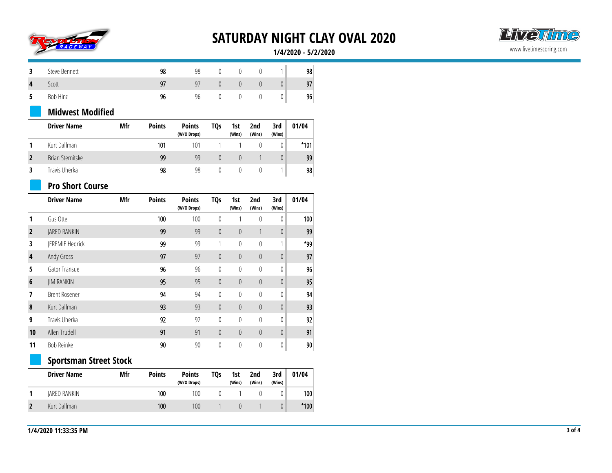



#### **1/4/2020 - 5/2/2020**

| Steve Bennett | 98 | 98             |  |   | 98 |
|---------------|----|----------------|--|---|----|
| Scott         |    | Q <sub>1</sub> |  | U | 97 |
| Bob Hinz      | 9t | 96             |  | υ | 96 |

### **Midwest Modified**

| <b>Driver Name</b> | Mfr | <b>Points</b> | <b>Points</b><br>(W/O Drops) | TQ <sub>S</sub>  | 1st<br>(Wins) | 2nd<br>(Wins) | 3rd<br>(Wins) | 01/04  |
|--------------------|-----|---------------|------------------------------|------------------|---------------|---------------|---------------|--------|
| Kurt Dallman       |     | 101           | 101                          |                  |               |               |               | $*101$ |
| Brian Sternitske   |     | 99            | 99                           | $\left( \right)$ |               |               | $\theta$      | 99     |
| Travis Uherka      |     | 98            | 98                           |                  |               |               |               | 98     |

## **Pro Short Course**

|                | <b>Driver Name</b>     | Mfr | <b>Points</b> | <b>Points</b><br>(W/O Drops) | TQ <sub>S</sub>  | 1st<br>(Wins) | 2nd<br>(Wins)    | 3rd<br>(Wins) | 01/04 |
|----------------|------------------------|-----|---------------|------------------------------|------------------|---------------|------------------|---------------|-------|
|                | Gus Otte               |     | 100           | 100                          | 0                | 1             | 0                | 0             | 100   |
| $\overline{2}$ | JARED RANKIN           |     | 99            | 99                           | $\theta$         | 0             |                  | $\theta$      | 99    |
| 3              | <b>IEREMIE Hedrick</b> |     | 99            | 99                           | 1                | 0             | 0                | 1             | *99   |
| 4              | Andy Gross             |     | 97            | 97                           | $\theta$         | 0             | $\theta$         | $\theta$      | 97    |
| 5              | Gator Transue          |     | 96            | 96                           | $\boldsymbol{0}$ | 0             | $\boldsymbol{0}$ | 0             | 96    |
| $6\phantom{1}$ | <b>JIM RANKIN</b>      |     | 95            | 95                           | $\theta$         | 0             | $\theta$         | $\theta$      | 95    |
| 7              | <b>Brent Rosener</b>   |     | 94            | 94                           | $\boldsymbol{0}$ | 0             | $\mathbf{0}$     | 0             | 94    |
| 8              | Kurt Dallman           |     | 93            | 93                           | $\boldsymbol{0}$ | 0             | $\theta$         | $\theta$      | 93    |
| 9              | Travis Uherka          |     | 92            | 92                           | $\mathbf{0}$     | $\theta$      | $\mathbf{0}$     | 0             | 92    |
| 10             | Allen Trudell          |     | 91            | 91                           | $\theta$         | 0             | $\theta$         | $\theta$      | 91    |
| 11             | Bob Reinke             |     | 90            | 90                           | 0                | 0             | 0                | 0             | 90    |

## **Sportsman Street Stock**

| <b>Driver Name</b> | Mfr | <b>Points</b> | <b>Points</b><br>(W/O Drops) | <b>TQs</b> | 1st<br>(Wins) | 2 <sub>nd</sub><br>(Wins) | 3rd<br>(Wins) | 01/04  |
|--------------------|-----|---------------|------------------------------|------------|---------------|---------------------------|---------------|--------|
| IARED RANKIN       |     | 100           | 100                          |            |               |                           |               | 100    |
| Kurt Dallman       |     | 100           | 100                          |            |               |                           |               | $*100$ |